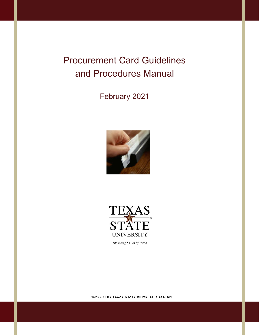# Procurement Card Guidelines and Procedures Manual

February 2021





The rising STAR of Texas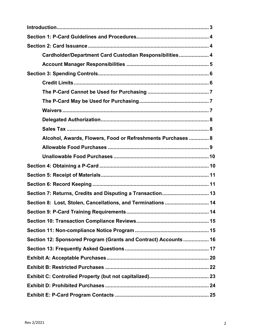| Cardholder/Department Card Custodian Responsibilities 4          |
|------------------------------------------------------------------|
|                                                                  |
|                                                                  |
|                                                                  |
|                                                                  |
|                                                                  |
|                                                                  |
|                                                                  |
|                                                                  |
| Alcohol, Awards, Flowers, Food or Refreshments Purchases  8      |
|                                                                  |
|                                                                  |
|                                                                  |
|                                                                  |
|                                                                  |
| Section 7: Returns, Credits and Disputing a Transaction 13       |
| Section 8: Lost, Stolen, Cancellations, and Terminations  14     |
|                                                                  |
|                                                                  |
|                                                                  |
| Section 12: Sponsored Program (Grants and Contract) Accounts  16 |
|                                                                  |
|                                                                  |
|                                                                  |
|                                                                  |
|                                                                  |
|                                                                  |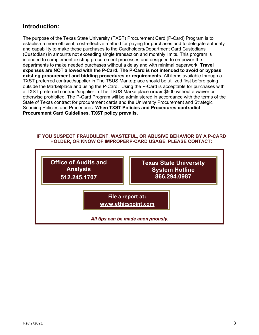### **Introduction:**

The purpose of the Texas State University (TXST) Procurement Card (P-Card) Program is to establish a more efficient, cost-effective method for paying for purchases and to delegate authority and capability to make these purchases to the Cardholders/Department Card Custodians (Custodian) in amounts not exceeding single transaction and monthly limits. This program is intended to complement existing procurement processes and designed to empower the departments to make needed purchases without a delay and with minimal paperwork. **Travel expenses are NOT allowed with the P-Card. The P-Card is not intended to avoid or bypass existing procurement and bidding procedures or requirements.** All items available through a TXST preferred contract/supplier in The TSUS Marketplace should be utilized first before going outside the Marketplace and using the P-Card. Using the P-Card is acceptable for purchases with a TXST preferred contract/supplier in The TSUS Marketplace **under** \$500 without a waiver or otherwise prohibited. The P-Card Program will be administered in accordance with the terms of the State of Texas contract for procurement cards and the University Procurement and Strategic Sourcing Policies and Procedures. **When TXST Policies and Procedures contradict Procurement Card Guidelines, TXST policy prevails.** 

### **IF YOU SUSPECT FRAUDULENT, WASTEFUL, OR ABUSIVE BEHAVIOR BY A P-CARD HOLDER, OR KNOW OF IMPROPERP-CARD USAGE, PLEASE CONTACT:**

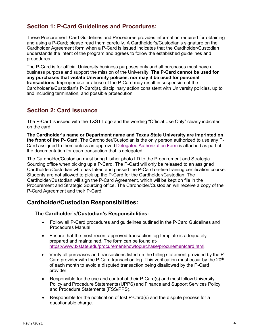## <span id="page-3-0"></span>**Section 1: P-Card Guidelines and Procedures:**

These Procurement Card Guidelines and Procedures provides information required for obtaining and using a P-Card; please read them carefully. A Cardholder's/Custodian's signature on the Cardholder Agreement form when a P-Card is issued indicates that the Cardholder/Custodian understands the intent of the program and agrees to follow the established guidelines and procedures.

The P-Card is for official University business purposes only and all purchases must have a business purpose and support the mission of the University. **The P-Card cannot be used for any purchases that violate University policies, nor may it be used for personal transactions.** Improper use or abuse of the P-Card may result in suspension of the Cardholder's/Custodian's P-Card(s), disciplinary action consistent with University policies, up to and including termination, and possible prosecution.

### <span id="page-3-1"></span>**Section 2: Card Issuance**

The P-Card is issued with the TXST Logo and the wording "Official Use Only" clearly indicated on the card.

**The Cardholder's name or Department name and Texas State University are imprinted on the front of the P- Card.** The Cardholder/Custodian is the only person authorized to use any P-Card assigned to them unless an approved Delegated [Authorization](https://www.txstate.edu/procurement/howtopurchase/procurementcard.html) Form is attached as part of the documentation for each transaction that is delegated.

The Cardholder/Custodian must bring his/her photo I.D to the Procurement and Strategic Sourcing office when picking up a P-Card. The P-Card will only be released to an assigned Cardholder/Custodian who has taken and passed the P-Card on-line training certification course. Students are not allowed to pick up the P-Card for the Cardholder/Custodian. The Cardholder/Custodian will sign the P-Card Agreement, which will be kept on file in the Procurement and Strategic Sourcing office. The Cardholder/Custodian will receive a copy of the P-Card Agreement and their P-Card.

### <span id="page-3-2"></span>**Cardholder/Custodian Responsibilities:**

### **The Cardholder's/Custodian's Responsibilities:**

- Follow all P-Card procedures and guidelines outlined in the P-Card Guidelines and Procedures Manual.
- Ensure that the most recent approved transaction log template is adequately prepared and maintained. The form can be found at[https://www.txstate.edu/procurement/howtopurchase/procurementcard.html.](https://www.txstate.edu/procurement/howtopurchase/procurementcard.html)
- Verify all purchases and transactions listed on the billing statement provided by the P-Card provider with the P-Card transaction log. This verification must occur by the  $20<sup>th</sup>$ of each month to avoid a disputed transaction being disallowed by the P-Card provider.
- Responsible for the use and control of their P-Card(s) and must follow University Policy and Procedure Statements (UPPS) and Finance and Support Services Policy and Procedure Statements (FSS/PPS).
- Responsible for the notification of lost P-Card(s) and the dispute process for a questionable charge.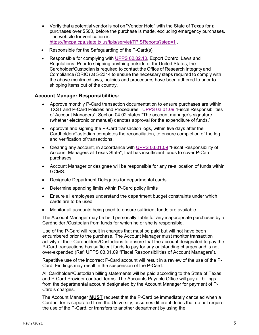- Verify that a potential vendor is not on "Vendor Hold" with the State of Texas for all purchases over \$500, before the purchase is made, excluding emergency purchases. The website for verification is <https://fmcpa.cpa.state.tx.us/tpis/servlet/TPISReports?step=1> .
- Responsible for the Safeguarding of the P-Card(s).
- Responsible for complying with [UPPS 02.02.10,](https://policies.txstate.edu/university-policies/02-02-10.html) Export Control Laws and Regulations. Prior to shipping anything outside of theUnited States, the Cardholder/Custodian is required to contact the Office of Research Integrity and Compliance (ORIC) at 5-2314 to ensure the necessary steps required to comply with the above-mentioned laws, policies and procedures have been adhered to prior to shipping items out of the country.

### <span id="page-4-0"></span>**Account Manager Responsibilities:**

- Approve monthly P-Card transaction documentation to ensure purchases are within TXST and P-Card Policies and Procedures. [UPPS 03.01.09](https://policies.txstate.edu/university-policies/03-01-09.html) "Fiscal Responsibilities of Account Managers", Section 04.02 states "The account manager's signature (whether electronic or manual) denotes approval for the expenditure of funds."
- Approval and signing the P-Card transaction logs, within five days after the Cardholder/Custodian completes the reconciliation, to ensure completion of the log and verification of transactions.
- Clearing any account, in accordance with [UPPS 03.01.09](https://policies.txstate.edu/university-policies/03-01-09.html) "Fiscal Responsibility of Account Managers at Texas State", that has insufficient funds to cover P-Card purchases.
- Account Manager or designee will be responsible for any re-allocation of funds within GCMS.
- Designate Department Delegates for departmental cards
- Determine spending limits within P-Card policy limits
- Ensure all employees understand the department budget constraints under which cards are to be used
- Monitor all accounts being used to ensure sufficient funds are available.

The Account Manager may be held personally liable for any inappropriate purchases by a Cardholder /Custodian from funds for which he or she is responsible.

Use of the P-Card will result in charges that must be paid but will not have been encumbered prior to the purchase. The Account Manager must monitor transaction activity of their Cardholders/Custodians to ensure that the account designated to pay the P-Card transactions has sufficient funds to pay for any outstanding charges and is not over-expended (Ref: UPPS 03.01.09 "Fiscal Responsibilities of Account Managers").

Repetitive use of the incorrect P-Card account will result in a review of the use of the P-Card. Findings may result in the suspension of the P-Card.

All Cardholder/Custodian billing statements will be paid according to the State of Texas and P-Card Provider contract terms. The Accounts Payable Office will pay all billings from the departmental account designated by the Account Manager for payment of P-Card's charges.

The Account Manager **MUST** request that the P-Card be immediately canceled when a Cardholder is separated from the University, assumes different duties that do not require the use of the P-Card, or transfers to another department by using the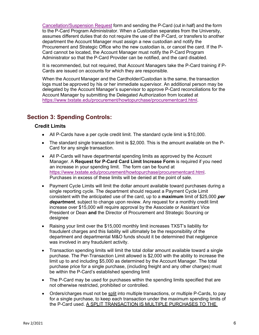[Cancellation/Suspension Request](https://www.txstate.edu/procurement/howtopurchase/procurementcard.html) form and sending the P-Card (cut in half) and the form to the P-Card Program Administrator. When a Custodian separates from the University, assumes different duties that do not require the use of the P-Card, or transfers to another department the Account Manager must assign a new custodian and notify the Procurement and Strategic Office who the new custodian is, or cancel the card. If the P-Card cannot be located, the Account Manager must notify the P-Card Program Administrator so that the P-Card Provider can be notified, and the card disabled.

It is recommended, but not required, that Account Managers take the P-Card training if P-Cards are issued on accounts for which they are responsible.

When the Account Manager and the Cardholder/Custodian is the same, the transaction logs must be approved by his or her immediate supervisor. An additional person may be delegated by the Account Manager's supervisor to approve P-Card reconciliations for the Account Manager by submitting the Delegated Authorization from located at [https://www.txstate.edu/procurement/howtopurchase/procurementcard.html.](https://www.txstate.edu/procurement/howtopurchase/procurementcard.html)

# <span id="page-5-1"></span><span id="page-5-0"></span>**Section 3: Spending Controls:**

### **Credit Limits**

- All P-Cards have a per cycle credit limit. The standard cycle limit is \$10,000.
- The standard single transaction limit is \$2,000. This is the amount available on the P-Card for any single transaction.
- All P-Cards will have departmental spending limits as approved by the Account Manager. A **Request for P-Card Card Limit Increase Form** is required if you need an increase in your spending limit. The form can be found at [https://www.txstate.edu/procurement/howtopurchase/procurementcard.html.](https://www.txstate.edu/procurement/howtopurchase/procurementcard.html) Purchases in excess of these limits will be denied at the point of sale.
- Payment Cycle Limits will limit the dollar amount available toward purchases during a single reporting cycle. The department should request a Payment Cycle Limit consistent with the anticipated use of the card, up to a **maximum** limit of \$25,000 *per department,* subject to change upon review. Any request for a monthly credit limit increase over \$15,000 will require approval by the Associate or Assistant Vice President or Dean **and** the Director of Procurement and Strategic Sourcing or designee
- Raising your limit over the \$15,000 monthly limit increases TXST's liability for fraudulent charges and this liability will ultimately be the responsibility of the department and departmental M&O funds should it be determined that negligence was involved in any fraudulent activity.
- Transaction spending limits will limit the total dollar amount available toward a single purchase. The Per-Transaction Limit allowed is \$2,000 with the ability to increase the limit up to and including \$5,000 as determined by the Account Manager. The total purchase price for a single purchase, (including freight and any other charges) must be within the P-Card's established spending limit
- The P-Card may be used for purchases within the spending limits specified that are not otherwise restricted, prohibited or controlled.
- Orders/charges must not be split into multiple transactions, or multiple P-Cards, to pay for a single purchase, to keep each transaction under the maximum spending limits of the P-Card used. A SPLIT TRANSACTION IS MULTIPLE PURCHASES TO THE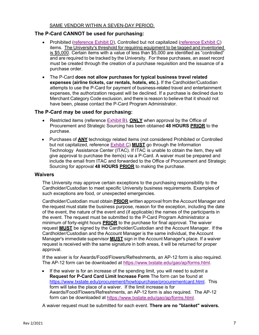### SAME VENDOR WITHIN A SEVEN-DAY PERIOD.

### <span id="page-6-0"></span>**The P-Card CANNOT be used for purchasing:**

- Prohibited [\(reference Exhibit D\)](#page-23-0), Controlled but not capitalized [\(reference Exhibit C\)](#page-22-0) items. The University's threshold for requiring equipment to be tagged and inventoried is \$5,000. Certain items with a value of less than \$5,000 are identified as "controlled" and are required to be tracked by the University. For these purchases, an asset record must be created through the creation of a purchase requisition and the issuance of a purchase order.
- The P-Card **does not allow purchases for typical business travel related expenses (airline tickets, car rentals, hotels, etc.).** If the Cardholder/Custodian attempts to use the P-Card for payment of business-related travel and entertainment expenses, the authorization request will be declined. If a purchase is declined due to Merchant Category Code exclusion, and there is reason to believe that it should not have been, please contact the P-Card Program Administrator.

### <span id="page-6-1"></span>**The P-Card may be used for purchasing:**

- Restricted items (reference [Exhibit B\)](#page-21-0), **ONLY** when approval by the Office of Procurement and Strategic Sourcing has been obtained **48 HOURS PRIOR** to the purchase.
- Purchases of **ANY** technology related items (not considered Prohibited or Controlled but not capitalized, reference [Exhibit C\)](#page-22-0) **MUST** go through the Information Technology Assistance Center (ITAC). If ITAC is unable to obtain the item, they will give approval to purchase the item(s) via a P-Card. A waiver must be prepared and include the email from ITAC and forwarded to the Office of Procurement and Strategic Sourcing for approval **48 HOURS PRIOR** to making the purchase.

#### <span id="page-6-2"></span>**Waivers**

The University may approve certain exceptions to the purchasing responsibility to the Cardholder/Custodian to meet specific University business requirements. Examples of such exceptions are food, or unexpected emergencies.

Cardholder/Custodian must obtain **PRIOR** written approval from the Account Manager and the request must state the business purpose, reason for the exception, including the date of the event, the nature of the event and (if applicable) the names of the participants in the event. The request must be submitted to the P-Card Program Administrator a minimum of forty-eight hours **PRIOR** to the purchase for final approval. The waiver request **MUST** be signed by the Cardholder/Custodian and the Account Manager. If the Cardholder/Custodian and the Account Manager is the same individual, the Account Manager's immediate supervisor **MUST** sign in the Account Manager's place. If a waiver request is received with the same signature in both areas, it will be returned for proper approval.

If the waiver is for Awards/Food/Flowers/Refreshments, an AP-12 form is also required. The AP-12 form can be downloaded at [https://www.txstate.edu/gao/ap/forms.html.](https://www.txstate.edu/gao/ap/forms.html)

• If the waiver is for an increase of the spending limit, you will need to submit a **Request for P-Card Card Limit Increase Form** The form can be found at [https://www.txstate.edu/procurement/howtopurchase/procurementcard.html.](https://www.txstate.edu/procurement/howtopurchase/procurementcard.html) This form will take the place of a waiver. If the limit increase is for Awards/Food/Flowers/Refreshments, an AP-12 form is also required. The AP-12 form can be downloaded at [https://www.txstate.edu/gao/ap/forms.html.](https://www.txstate.edu/gao/ap/forms.html)

A waiver request must be submitted for each event. **There are no "blanket" waivers.**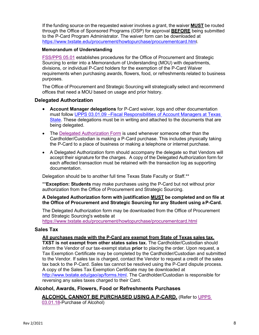If the funding source on the requested waiver involves a grant, the waiver **MUST** be routed through the Office of Sponsored Programs (OSP) for approval **BEFORE** being submitted to the P-Card Program Administrator. The waiver form can be downloaded at [https://www.txstate.edu/procurement/howtopurchase/procurementcard.html](https://www.txstate.edu/procurement/howtopurchase/procurementcard.htm).

#### **Memorandum of Understanding**

[FSS/PPS 05.01](https://policies.txstate.edu/division-policies/finance-and-support-services/05-01.html) establishes procedures for the Office of Procurement and Strategic Sourcing to enter into a Memorandum of Understanding (MOU) with departments, divisions, or individual P-Card holders for the exemption of the P-Card Waiver requirements when purchasing awards, flowers, food, or refreshments related to business purposes.

The Office of Procurement and Strategic Sourcing will strategically select and recommend offices that need a MOU based on usage and prior history.

### <span id="page-7-0"></span>**Delegated Authorization**

- **Account Manager delegations** for P-Card waiver, logs and other documentation must follow [UPPS 03.01.09 –Fiscal Responsibilities of Account Managers at Texas](https://policies.txstate.edu/university-policies/03-01-09.html)  [State.](https://policies.txstate.edu/university-policies/03-01-09.html) These delegations must be in writing and attached to the documents that are being delegated.
- The [Delegated Authorization Form](https://www.txstate.edu/procurement/howtopurchase/procurementcard.html) is used whenever someone other than the Cardholder/Custodian is making a P-Card purchase. This includes physically taking the P-Card to a place of business or making a telephone or internet purchase.
- A Delegated Authorization form should accompany the delegate so that Vendors will accept their signature for the charges. A copy of the Delegated Authorization form for each affected transaction must be retained with the transaction log as supporting documentation.

Delegation should be to another full time Texas State Faculty or Staff.\*\*

\*\***Exception: Students** may make purchases using the P-Card but not without prior authorization from the Office of Procurement and Strategic Sourcing.

### **A Delegated Authorization form with justification MUST be completed and on file at the Office of Procurement and Strategic Sourcing for any Student using aP-Card.**

The Delegated Authorization form may be downloaded from the Office of Procurement and Strategic Sourcing's website at

<https://www.txstate.edu/procurement/howtopurchase/procurementcard.html>

### <span id="page-7-1"></span>**Sales Tax**

#### **All purchases made with the P-Card are exempt from State of Texas sales tax.**

**TXST is not exempt from other states sales tax.** The Cardholder/Custodian should inform the Vendor of our tax-exempt status **prior** to placing the order. Upon request, a Tax Exemption Certificate may be completed by the Cardholder/Custodian and submitted to the Vendor. If sales tax is charged, contact the Vendor to request a credit of the sales tax back to the P-Card. Sales tax cannot be resolved using the P-Card dispute process. A copy of the Sales Tax Exemption Certificate may be downloaded at [http://www.txstate.edu/gao/ap/forms.html.](http://www.txstate.edu/gao/ap/forms.html) The Cardholder/Custodian is responsible for reversing any sales taxes charged to their Card.

### <span id="page-7-2"></span>**Alcohol, Awards, Flowers, Food or Refreshments Purchases**

**ALCOHOL CANNOT BE PURCHASED USING A P-CARD.** (Refer to [UPPS](https://policies.txstate.edu/university-policies/03-01-18.html)  [03.01.18-](https://policies.txstate.edu/university-policies/03-01-18.html)Purchase of Alcohol)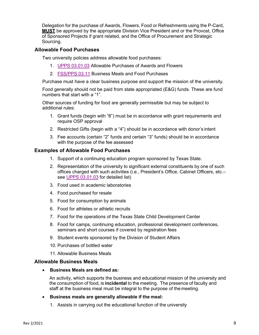Delegation for the purchase of Awards, Flowers, Food or Refreshments using the P-Card, **MUST** be approved by the appropriate Division Vice President and or the Provost, Office of Sponsored Projects if grant related, and the Office of Procurement and Strategic Sourcing.

### <span id="page-8-0"></span>**Allowable Food Purchases**

Two university policies address allowable food purchases:

- 1. [UPPS 03.01.03](https://policies.txstate.edu/university-policies/03-01-03.html) Allowable Purchases of Awards and Flowers
- 2. [FSS/PPS 03.11](https://policies.txstate.edu/division-policies/finance-and-support-services/03-11.html) Business Meals and Food Purchases

Purchase must have a clear business purpose and support the mission of the university.

Food generally should not be paid from state appropriated (E&G) funds. These are fund numbers that start with a "1".

Other sources of funding for food are generally permissible but may be subject to additional rules:

- 1. Grant funds (begin with "8") must be in accordance with grant requirements and require OSP approval
- 2. Restricted Gifts (begin with a "4") should be in accordance with donor's intent
- 3. Fee accounts (certain "2" funds and certain "3" funds) should be in accordance with the purpose of the fee assessed

### **Examples of Allowable Food Purchases**

- 1. Support of a continuing education program sponsored by Texas State.
- 2. Representation of the university to significant external constituents by one of such offices charged with such activities (i.e., President's Office, Cabinet Officers, etc.– see [UPPS 03.01.03](https://policies.txstate.edu/university-policies/03-01-03.html) for detailed list)
- 3. Food used in academic laboratories
- 4. Food purchased for resale
- 5. Food for consumption by animals
- 6. Food for athletes or athletic recruits
- 7. Food for the operations of the Texas State Child Development Center
- 8. Food for camps, continuing education, professional development conferences, seminars and short courses if covered by registration fees
- 9. Student events sponsored by the Division of Student Affairs
- 10. Purchases of bottled water
- 11. Allowable Business Meals

### **Allowable Business Meals**

• **Business Meals are defined as:**

An activity, which supports the business and educational mission of the university and the consumption of food, is **incidental** to the meeting. The presence of faculty and staff at the business meal must be integral to the purpose of the meeting.

- **Business meals are generally allowable if the meal:**
	- 1. Assists in carrying out the educational function of the university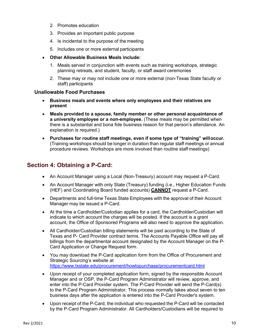- 2. Promotes education
- 3. Provides an important public purpose
- 4. Is incidental to the purpose of the meeting
- 5. Includes one or more external participants
- **Other Allowable Business Meals include:**
	- 1. Meals served in conjunction with events such as training workshops, strategic planning retreats, and student, faculty, or staff award ceremonies
	- 2. These may or may not include one or more external (non-Texas State faculty or staff) participants

### <span id="page-9-0"></span>**Unallowable Food Purchases**

- **Business meals and events where only employees and their relatives are present**
- **Meals provided to a spouse, family member or other personal acquaintance of a university employee or a non-employee.** (These meals may be permitted when there is a substantial and bona fide business reason for that person's attendance. An explanation is required.)
- **Purchases for routine staff meetings, even if some type of "training" willoccur.**  (Training workshops should be longer in duration than regular staff meetings or annual procedure reviews. Workshops are more involved than routine staff meetings)

### <span id="page-9-1"></span>**Section 4: Obtaining a P-Card:**

- An Account Manager using a Local (Non-Treasury) account may request a P-Card*.*
- An Account Manager with only State (Treasury) funding (i.e., Higher Education Funds (HEF) and Coordinating Board funded accounts) **CANNOT** request a P-Card.
- Departments and full-time Texas State Employees with the approval of their Account Manager may be issued a P-Card.
- At the time a Cardholder/Custodian applies for a card, the Cardholder/Custodian will indicate to which account the charges will be posted. If the account is a grant account, the Office of Sponsored Programs will also need to approve the application.
- All Cardholder/Custodian billing statements will be paid according to the State of Texas and P- Card Provider contract terms. The Accounts Payable Office will pay all billings from the departmental account designated by the Account Manager on the P-Card Application or Change Request form.
- You may download the P-Card application form from the Office of Procurement and Strategic Sourcing's website at <https://www.txstate.edu/procurement/howtopurchase/procurementcard.html>
- Upon receipt of your completed application form, signed by the responsible Account Manager and or OSP, the P-Card Program Administrator will review, approve, and enter into the P-Card Provider system. The P-Card Provider will send the P-Card(s) to the P-Card Program Administrator. This process normally takes about seven to ten business days after the application is entered into the P-Card Provider's system.
- Upon receipt of the P-Card, the individual who requested the P-Card will be contacted by the P-Card Program Administrator. All Cardholders/Custodians will be required to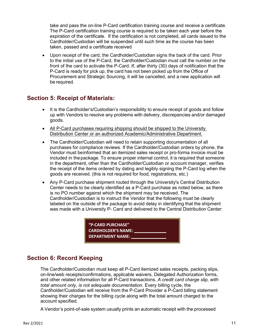take and pass the on-line P-Card certification training course and receive a certificate. The P-Card certification training course is required to be taken each year before the expiration of the certificate. If the certification is not completed, all cards issued to the Cardholder/Custodian will be suspended until such time as the course has been taken, passed and a certificate received

• Upon receipt of the card, the Cardholder/Custodian signs the back of the card. Prior to the initial use of the P-Card, the Cardholder/Custodian must call the number on the front of the card to activate the P-Card. If, after thirty (30) days of notification that the P-Card is ready for pick up, the card has not been picked up from the Office of Procurement and Strategic Sourcing, it will be cancelled, and a new application will be required.

### <span id="page-10-0"></span>**Section 5: Receipt of Materials:**

- It is the Cardholder's/Custodian's responsibility to ensure receipt of goods and follow up with Vendors to resolve any problems with delivery, discrepancies and/or damaged goods.
- All P-Card purchases requiring shipping should be shipped to the University Distribution Center or an authorized Academic/Administrative Department.
- The Cardholder/Custodian will need to retain supporting documentation of all purchases for compliance reviews. If the Cardholder/Custodian orders by phone, the Vendor must beinformed that an itemized sales receipt or pro-forma invoice must be included in thepackage. To ensure proper internal control, it is required that someone in the department, other than the Cardholder/Custodian or account manager, verifies the receipt of the items ordered by dating and legibly signing the P-Card log when the goods are received. (this is not required for food, registrations, etc.)
- Any P-Card purchase shipment routed through the University's Central Distribution Center needs to be clearly identified as a P-Card purchase as noted below, as there is no PO number against which the shipment may be received. The Cardholder/Custodian is to instruct the Vendor that the following must be clearly labeled on the outside of the package to avoid delay in identifying that the shipment was made with a University P- Card and delivered to the Central Distribution Center:

**"P-CARD PURCHASE" CARDHOLDER'S NAME: DEPARTMENT NAME:**

# <span id="page-10-1"></span>**Section 6: Record Keeping**

The Cardholder/Custodian must keep all P-Card itemized sales receipts, packing slips, on-line/web receipts/confirmations, applicable waivers, Delegated Authorization forms, and other related information for all P-Card transactions. *A credit card charge slip, with total amount only, is not adequate documentation.* Every billing cycle, the Cardholder/Custodian will receive from the P-Card Provider a P-Card billing statement showing their charges for the billing cycle along with the total amount charged to the account specified.

A Vendor's point-of-sale system usually prints an automatic receipt with the processed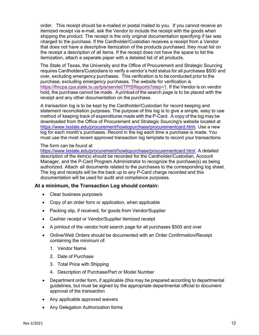order. This receipt should be e-mailed or postal mailed to you. If you cannot receive an itemized receipt via e-mail, ask the Vendor to include the receipt with the goods when shipping the product. The receipt is the only original documentation specifying if tax was charged to the purchase. If the Cardholder/Custodian receives a receipt from a Vendor that does not have a descriptive itemization of the products purchased, they must list on the receipt a description of all items. If the receipt does not have the space to list the itemization, attach a separate paper with a detailed list of all products.

The State of Texas, the University and the Office of Procurement and Strategic Sourcing requires Cardholders/Custodians to verify a vendor's hold status for all purchases \$500 and over, excluding emergency purchases. This verification is to be conducted prior to the purchase, excluding emergency purchases. The website for verification is [https://fmcpa.cpa.state.tx.us/tpis/servlet/TPISReports?step=1.](https://fmcpa.cpa.state.tx.us/tpis/servlet/TPISReports?step=1) If the Vendor is on vendor hold, the purchase cannot be made. A printout of the search page is to be placed with the receipt and any other documentation on the purchase.

A transaction log is to be kept by the Cardholder/Custodian for record keeping and statement reconciliation purposes. The purpose of this log is to give a simple, easy to use method of keeping track of expenditures made with the P-Card. A copy of the log may be downloaded from the Office of Procurement and Strategic Sourcing's website located at https://www.txstate.edu/procurement/howtopurchase/procurementcard.html. Use a new log for each month's purchases. Record in the log each time a purchase is made. You must use the most recent approved transaction log template to record your transactions.

### The form can be found at

[https://www.txstate.edu/procurement/howtopurchase/procurementcard.html.](https://www.txstate.edu/procurement/howtopurchase/procurementcard.html) A detailed description of the item(s) should be recorded for the Cardholder/Custodian, Account Manager, and the P-Card Program Administrator to recognize the purchase(s) as being authorized. Attach all documents related to the purchases to the corresponding log sheet. The log and receipts will be the back up to any P-Card charge recorded and this documentation will be used for audit and compliance purposes.

### **At a minimum, the Transaction Log should contain:**

- Clear business purpose/s
- Copy of an order form or application, when applicable
- Packing slip, if received, for goods from Vendor/Supplier
- Cashier receipt or Vendor/Supplier itemized receipt
- A printout of the vendor hold search page for all purchases \$500 and over
- Online/Web Orders should be documented with an Order Confirmation/Receipt containing the minimum of:
	- 1. Vendor Name
	- 2. Date of Purchase
	- 3. Total Price with Shipping
	- 4. Description of Purchase/Part or Model Number
- Department order form, if applicable (this may be prepared according to departmental guidelines, but must be signed by the appropriate departmental official to document approval of the transaction
- Any applicable approved waivers
- Any Delegation Authorization forms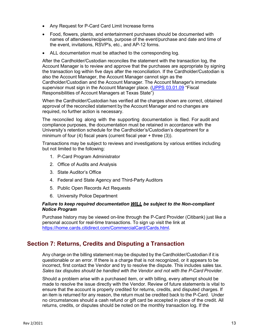- Any Request for P-Card Card Limit Increase forms
- Food, flowers, plants, and entertainment purchases should be documented with names of attendees/recipients, purpose of the event/purchase and date and time of the event, invitations, RSVP's, etc., and AP-12 forms.
- ALL documentation must be attached to the corresponding log.

After the Cardholder/Custodian reconciles the statement with the transaction log, the Account Manager is to review and approve that the purchases are appropriate by signing the transaction log within five days after the reconciliation. If the Cardholder/Custodian is also the Account Manager, the Account Manager cannot sign as the Cardholder/Custodian and the Account Manager. The Account Manager's immediate supervisor must sign in the Account Manager place. [\(UPPS 03.01.09](https://policies.txstate.edu/university-policies/03-01-09.html) "Fiscal Responsibilities of Account Managers at Texas State")

When the Cardholder/Custodian has verified all the charges shown are correct, obtained approval of the reconciled statement by the Account Manager and no changes are required, no further action is necessary.

The reconciled log along with the supporting documentation is filed. For audit and compliance purposes, the documentation must be retained in accordance with the University's retention schedule for the Cardholder's/Custodian's department for a minimum of four (4) fiscal years (current fiscal year + three (3)).

Transactions may be subject to reviews and investigations by various entities including but not limited to the following:

- 1. P-Card Program Administrator
- 2. Office of Audits and Analysis
- 3. State Auditor's Office
- 4. Federal and State Agency and Third-Party Auditors
- 5. Public Open Records Act Requests
- 6. University Police Department

### *Failure to keep required documentation WILL be subject to the Non-compliant Notice Program*

Purchase history may be viewed on-line through the P-Card Provider (Citibank) just like a personal account for real-time transactions. To sign up visit the link at [https://home.cards.citidirect.com/CommercialCard/Cards.html.](https://home.cards.citidirect.com/CommercialCard/Cards.html)

### <span id="page-12-0"></span>**Section 7: Returns, Credits and Disputing a Transaction**

Any charge on the billing statement may be disputed by the Cardholder/Custodian if it is questionable or an error. If there is a charge that is not recognized, or it appears to be incorrect, first contact the Vendor and try to resolve the dispute. This includes sales tax. *Sales tax disputes should be handled with the Vendor and not with the P-Card Provider*.

Should a problem arise with a purchased item, or with billing, every attempt should be made to resolve the issue directly with the Vendor. Review of future statements is vital to ensure that the account is properly credited for returns, credits, and disputed charges. If an item is returned for any reason, the return must be credited back to the P-Card. Under no circumstances should a cash refund or gift card be accepted in place of the credit. All returns, credits, or disputes should be noted on the monthly transaction log. If the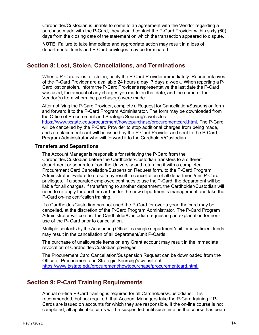Cardholder/Custodian is unable to come to an agreement with the Vendor regarding a purchase made with the P-Card, they should contact the P-Card Provider within sixty (60) days from the closing date of the statement on which the transaction appeared to dispute.

**NOTE:** Failure to take immediate and appropriate action may result in a loss of departmental funds and P-Card privileges may be terminated.

### <span id="page-13-0"></span>**Section 8: Lost, Stolen, Cancellations, and Terminations**

When a P-Card is lost or stolen, notify the P-Card Provider immediately. Representatives of the P-Card Provider are available 24 hours a day, 7 days a week. When reporting a P-Card lost or stolen, inform the P-Card Provider's representative the last date the P-Card was used, the amount of any charges you made on that date, and the name of the Vendor(s) from whom the purchase(s) were made.

After notifying the P-Card Provider, complete a Request for Cancellation/Suspension form and forward it to the P-Card Program Administrator. The form may be downloaded from the Office of Procurement and Strategic Sourcing's website at [https://www.txstate.edu/procurement/howtopurchase/procurementcard.html.](https://www.txstate.edu/procurement/howtopurchase/procurementcard.html) The P-Card will be cancelled by the P-Card Provider to stop additional charges from being made, and a replacement card will be issued by the P-Card Provider and sent to the P-Card Program Administrator who will forward it to the Cardholder/Custodian.

### **Transfers and Separations**

The Account Manager is responsible for retrieving the P-Card from the Cardholder/Custodian before the Cardholder/Custodian transfers to a different department or separates from the University and returning it with a completed Procurement Card Cancellation/Suspension Request form, to the P-Card Program Administrator. Failure to do so may result in cancellation of all department/unit P-Card privileges. If a separated employee continues to use the P-Card, the department will be liable for all charges. If transferring to another department, the Cardholder/Custodian will need to re-apply for another card under the new department's management and take the P-Card on-line certification training.

If a Cardholder/Custodian has not used the P-Card for over a year, the card may be cancelled, at the discretion of the P-Card Program Administrator. The P-Card Program Administrator will contact the Cardholder/Custodian requesting an explanation for nonuse of the P- Card prior to cancellation.

Multiple contacts by the Accounting Office to a single department/unit for insufficient funds may result in the cancellation of all department/unit P-Cards.

The purchase of unallowable items on any Grant account may result in the immediate revocation of Cardholder/Custodian privileges.

The Procurement Card Cancellation/Suspension Request can be downloaded from the Office of Procurement and Strategic Sourcing's website at [https://www.txstate.edu/procurement/howtopurchase/procurementcard.html.](https://www.txstate.edu/procurement/howtopurchase/procurementcard.html)

### <span id="page-13-1"></span>**Section 9: P-Card Training Requirements**

Annual on-line P-Card training is required for all Cardholders/Custodians. It is recommended, but not required, that Account Managers take the P-Card training if P-Cards are issued on accounts for which they are responsible. If the on-line course is not completed, all applicable cards will be suspended until such time as the course has been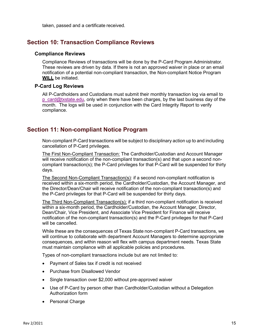taken, passed and a certificate received.

### <span id="page-14-0"></span>**Section 10: Transaction Compliance Reviews**

### **Compliance Reviews**

Compliance Reviews of transactions will be done by the P-Card Program Administrator. These reviews are driven by data. If there is not an approved waiver in place or an email notification of a potential non-compliant transaction, the Non-compliant Notice Program **WILL** be initiated.

### **P-Card Log Reviews**

All P-Cardholders and Custodians must submit their monthly transaction log via email to  $p$  card@txstate.edu, only when there have been charges, by the last business day of the month. The logs will be used in conjunction with the Card Integrity Report to verify compliance.

### <span id="page-14-1"></span>**Section 11: Non-compliant Notice Program**

Non-compliant P-Card transactions will be subject to disciplinary action up to and including cancellation of P-Card privileges.

The First Non-Compliant Transaction: The Cardholder/Custodian and Account Manager will receive notification of the non-compliant transaction(s) and that upon a second noncompliant transaction(s); the P-Card privileges for that P-Card will be suspended for thirty days.

The Second Non-Compliant Transaction(s): if a second non-compliant notification is received within a six-month period, the Cardholder/Custodian, the Account Manager, and the Director/Dean/Chair will receive notification of the non-compliant transaction(s) and the P-Card privileges for that P-Card will be suspended for thirty days.

The Third Non-Compliant Transaction(s): if a third non-compliant notification is received within a six-month period, the Cardholder/Custodian, the Account Manager, Director, Dean/Chair, Vice President, and Associate Vice President for Finance will receive notification of the non-compliant transaction(s) and the P-Card privileges for that P-Card will be cancelled.

While these are the consequences of Texas State non-compliant P-Card transactions, we will continue to collaborate with department Account Managers to determine appropriate consequences, and within reason will flex with campus department needs. Texas State must maintain compliance with all applicable policies and procedures.

Types of non-compliant transactions include but are not limited to:

- Payment of Sales tax if credit is not received
- Purchase from Disallowed Vendor
- Single transaction over \$2,000 without pre-approved waiver
- Use of P-Card by person other than Cardholder/Custodian without a Delegation Authorization form
- Personal Charge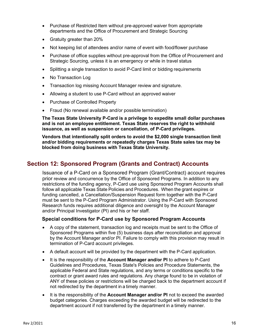- Purchase of Restricted Item without pre-approved waiver from appropriate departments and the Office of Procurement and Strategic Sourcing
- Gratuity greater than 20%
- Not keeping list of attendees and/or name of event with food/flower purchase
- Purchase of office supplies without pre-approval from the Office of Procurement and Strategic Sourcing, unless it is an emergency or while in travel status
- Splitting a single transaction to avoid P-Card limit or bidding requirements
- No Transaction Log
- Transaction log missing Account Manager review and signature.
- Allowing a student to use P-Card without an approved waiver
- Purchase of Controlled Property
- Fraud (No renewal available and/or possible termination)

**The Texas State University P-Card is a privilege to expedite small dollar purchases and is not an employee entitlement. Texas State reserves the right to withhold issuance, as well as suspension or cancellation, of P-Card privileges.**

**Vendors that intentionally split orders to avoid the \$2,000 single transaction limit and/or bidding requirements or repeatedly charges Texas State sales tax may be blocked from doing business with Texas State University.**

### <span id="page-15-0"></span>**Section 12: Sponsored Program (Grants and Contract) Accounts**

Issuance of a P-Card on a Sponsored Program (Grant/Contract) account requires prior review and concurrence by the Office of Sponsored Programs. In addition to any restrictions of the funding agency, P-Card use using Sponsored Program Accounts shall follow all applicable Texas State Policies and Procedures. When the grant expires or funding cancelled, a Cancellation/Suspension Request form together with the P-Card must be sent to the P-Card Program Administrator. Using the P-Card with Sponsored Research funds requires additional diligence and oversight by the Account Manager and/or Principal Investigator (PI) and his or her staff.

### **Special conditions for P-Card use by Sponsored Program Accounts**

- A copy of the statement, transaction log and receipts must be sent to the Office of Sponsored Programs within five (5) business days after reconciliation and approval by the Account Manager and/or PI. Failure to comply with this provision may result in termination of P-Card account privileges.
- A default account will be provided by the department with the P-Card application.
- It is the responsibility of the **Account Manager and/or PI** to adhere to P-Card Guidelines and Procedures, Texas State's Policies and Procedure Statements, the applicable Federal and State regulations, and any terms or conditions specific to the contract or grant award rules and regulations. Any charge found to be in violation of ANY of these policies or restrictions will be charged back to the department account if not redirected by the department in a timely manner.
- It is the responsibility of the **Account Manager and/or PI** not to exceed the awarded budget categories. Charges exceeding the awarded budget will be redirected to the department account if not transferred by the department in a timely manner.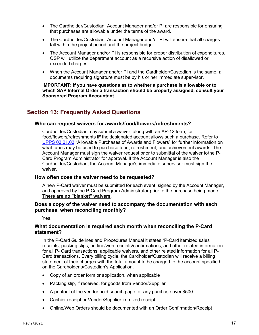- The Cardholder/Custodian, Account Manager and/or PI are responsible for ensuring that purchases are allowable under the terms of the award.
- The Cardholder/Custodian, Account Manager and/or PI will ensure that all charges fall within the project period and the project budget.
- The Account Manager and/or PI is responsible for proper distribution of expenditures. OSP will utilize the department account as a recursive action of disallowed or exceeded charges.
- When the Account Manager and/or PI and the Cardholder/Custodian is the same, all documents requiring signature must be by his or her immediate supervisor.

**IMPORTANT: If you have questions as to whether a purchase is allowable or to which SAP Internal Order a transaction should be properly assigned, consult your Sponsored Program Accountant.**

### <span id="page-16-0"></span>**Section 13: Frequently Asked Questions**

#### **Who can request waivers for awards/food/flowers/refreshments?**

Cardholder/Custodian may submit a waiver, along with an AP-12 form, for food/flowers/refreshments **IF** the designated account allows such a purchase. Refer to [UPPS 03.01.03](https://policies.txstate.edu/university-policies/03-01-03.html) "Allowable Purchases of Awards and Flowers" for further information on what funds may be used to purchase food, refreshment, and achievement awards. The Account Manager must sign the waiver request prior to submittal of the waiver tothe P-Card Program Administrator for approval. If the Account Manager is also the Cardholder/Custodian, the Account Manager's immediate supervisor must sign the waiver.

### **How often does the waiver need to be requested?**

A new P-Card waiver must be submitted for each event, signed by the Account Manager, and approved by the P-Card Program Administrator prior to the purchase being made. **There are no "blanket" waivers**.

### **Does a copy of the waiver need to accompany the documentation with each purchase, when reconciling monthly?**

Yes.

### **What documentation is required each month when reconciling the P-Card statement?**

In the P-Card Guidelines and Procedures Manual it states "P-Card itemized sales receipts, packing slips, on-line/web receipts/confirmations, and other related information for all P- Card transactions, applicable waivers, and other related information for all P-Card transactions. Every billing cycle, the Cardholder/Custodian will receive a billing statement of their charges with the total amount to be charged to the account specified on the Cardholder's/Custodian's Application.

- Copy of an order form or application, when applicable
- Packing slip, if received, for goods from Vendor/Supplier
- A printout of the vendor hold search page for any purchase over \$500
- Cashier receipt or Vendor/Supplier itemized receipt
- Online/Web Orders should be documented with an Order Confirmation/Receipt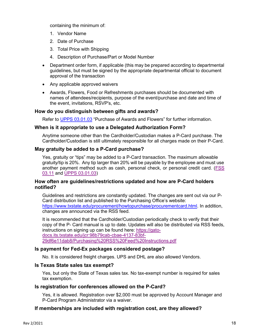containing the minimum of:

- 1. Vendor Name
- 2. Date of Purchase
- 3. Total Price with Shipping
- 4. Description of Purchase/Part or Model Number
- Department order form, if applicable (this may be prepared according to departmental guidelines, but must be signed by the appropriate departmental official to document approval of the transaction
- Any applicable approved waivers
- Awards, Flowers, Food or Refreshments purchases should be documented with names of attendees/recipients, purpose of the event/purchase and date and time of the event, invitations, RSVP's, etc.

### **How do you distinguish between gifts and awards?**

Refer to [UPPS 03.01.03](https://policies.txstate.edu/university-policies/03-01-03.html) "Purchase of Awards and Flowers" for further information.

### **When is it appropriate to use a Delegated Authorization Form?**

Anytime someone other than the Cardholder/Custodian makes a P-Card purchase. The Cardholder/Custodian is still ultimately responsible for all charges made on their P-Card.

### **May gratuity be added to a P-Card purchase?**

Yes, gratuity or "tips" may be added to a P-Card transaction. The maximum allowable gratuity/tip is 20%. Any tip larger than 20% will be payable by the employee and must use another payment method such as cash, personal check, or personal credit card. [\(FSS](https://policies.txstate.edu/division-policies/finance-and-support-services/03-11.html) [03.11](https://policies.txstate.edu/division-policies/finance-and-support-services/03-11.html) and [UPPS 03.01.03\)](https://policies.txstate.edu/university-policies/03-01-03.html)

### **How often are guidelines/restrictions updated and how are P-Card holders notified?**

Guidelines and restrictions are constantly updated. The changes are sent out via our P-Card distribution list and published to the Purchasing Office's website: [https://www.txstate.edu/procurement/howtopurchase/procurementcard.html.](https://www.txstate.edu/procurement/howtopurchase/procurementcard.html) In addition, changes are announced via the RSS feed.

It is recommended that the Cardholder/Custodian periodically check to verify that their copy of the P- Card manual is up to date. Updates will also be distributed via RSS feeds, instructions on signing up can be found here: [https://gato](https://gato-docs.its.txstate.edu/jcr:98b79cab-cbae-4137-83bf-29df6e11dab8/Purchasing%20RSS%20Feed%20Instructions.pdf)[docs.its.txstate.edu/jcr:98b79cab-cbae-4137-83bf-](https://gato-docs.its.txstate.edu/jcr:98b79cab-cbae-4137-83bf-29df6e11dab8/Purchasing%20RSS%20Feed%20Instructions.pdf)[29df6e11dab8/Purchasing%20RSS%20Feed%20Instructions.pdf](https://gato-docs.its.txstate.edu/jcr:98b79cab-cbae-4137-83bf-29df6e11dab8/Purchasing%20RSS%20Feed%20Instructions.pdf)

### **Is payment for Fed-Ex packages considered postage?**

No. It is considered freight charges. UPS and DHL are also allowed Vendors.

### **Is Texas State sales tax exempt?**

Yes, but only the State of Texas sales tax. No tax-exempt number is required for sales tax exemption.

### **Is registration for conferences allowed on the P-Card?**

Yes, it is allowed. Registration over \$2,000 must be approved by Account Manager and P-Card Program Administrator via a waiver.

### **If memberships are included with registration cost, are they allowed?**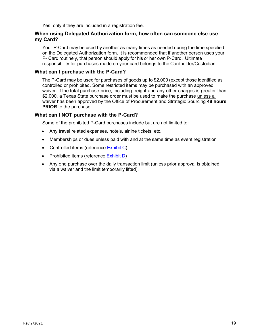Yes, only if they are included in a registration fee.

### **When using Delegated Authorization form, how often can someone else use my Card?**

Your P-Card may be used by another as many times as needed during the time specified on the Delegated Authorization form. It is recommended that if another person uses your P- Card routinely, that person should apply for his or her own P-Card. Ultimate responsibility for purchases made on your card belongs to the Cardholder/Custodian.

### **What can I purchase with the P-Card?**

The P-Card may be used for purchases of goods up to \$2,000 (except those identified as controlled or prohibited. Some restricted items may be purchased with an approved waiver. If the total purchase price, including freight and any other charges is greater than \$2,000, a Texas State purchase order must be used to make the purchase unless a waiver has been approved by the Office of Procurement and Strategic Sourcing **48 hours PRIOR** to the purchase.

### **What can I NOT purchase with the P-Card?**

Some of the prohibited P-Card purchases include but are not limited to:

- Any travel related expenses, hotels, airline tickets, etc.
- Memberships or dues unless paid with and at the same time as event registration
- Controlled items (reference [Exhibit C\)](#page-22-0)
- Prohibited items (reference **Exhibit D)**
- Any one purchase over the daily transaction limit (unless prior approval is obtained via a waiver and the limit temporarily lifted).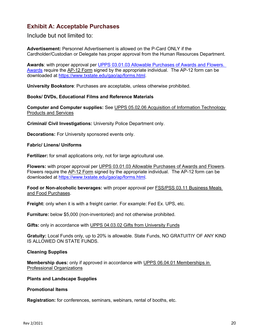# <span id="page-19-0"></span>**Exhibit A: Acceptable Purchases**

Include but not limited to:

**Advertisement:** Personnel Advertisement is allowed on the P-Card ONLY if the Cardholder/Custodian or Delegate has proper approval from the Human Resources Department.

**Awards**: with proper approval per [UPPS 03.01.03 Allowable Purchases of Awards and Flowers.](https://policies.txstate.edu/university-policies/03-01-03.html)  [Awards](https://policies.txstate.edu/university-policies/03-01-03.html) require the [AP-12 Form](https://www.txstate.edu/gao/ap/forms.html) signed by the appropriate individual. The AP-12 form can be downloaded at [https://www.txstate.edu/gao/ap/forms.html.](https://www.txstate.edu/gao/ap/forms.html)

**University Bookstore**: Purchases are acceptable, unless otherwise prohibited.

#### **Books/ DVDs, Educational Films and Reference Materials**

**Computer and Computer supplies:** See [UPPS 05.02.06 Acquisition of Information Technology](https://policies.txstate.edu/university-policies/05-02-06.html)  [Products and Services](https://policies.txstate.edu/university-policies/05-02-06.html)

**Criminal/ Civil Investigations:** University Police Department only.

**Decorations:** For University sponsored events only.

#### **Fabric/ Linens/ Uniforms**

**Fertilizer:** for small applications only, not for large agricultural use.

**Flowers:** with proper approval per [UPPS 03.01.03 Allowable Purchases of Awards and Flowers.](https://policies.txstate.edu/university-policies/03-01-03.html) Flowers require the [AP-12 Form](https://www.txstate.edu/gao/ap/forms.html) signed by the appropriate individual. The AP-12 form can be downloaded at [https://www.txstate.edu/gao/ap/forms.html.](https://www.txstate.edu/gao/ap/forms.html)

**Food or Non-alcoholic beverages:** with proper approval per [FSS/PSS 03.11 Business Meals](https://policies.txstate.edu/division-policies/finance-and-support-services/03-11.html)  [and Food Purchases.](https://policies.txstate.edu/division-policies/finance-and-support-services/03-11.html)

**Freight:** only when it is with a freight carrier. For example: Fed Ex. UPS, etc.

**Furniture:** below \$5,000 (non-inventoried) and not otherwise prohibited.

**Gifts:** only in accordance with [UPPS 04.03.02 Gifts from University Funds](https://policies.txstate.edu/university-policies/04-03-02.html)

**Gratuity:** Local Funds only, up to 20% is allowable. State Funds, NO GRATUITIY OF ANY KIND IS ALLOWED ON STATE FUNDS.

### **Cleaning Supplies**

**Membership dues:** only if approved in accordance with [UPPS 06.04.01 Memberships in](https://policies.txstate.edu/university-policies/06-04-01.html)  [Professional Organizations](https://policies.txstate.edu/university-policies/06-04-01.html)

#### **Plants and Landscape Supplies**

#### **Promotional Items**

**Registration:** for conferences, seminars, webinars, rental of booths, etc.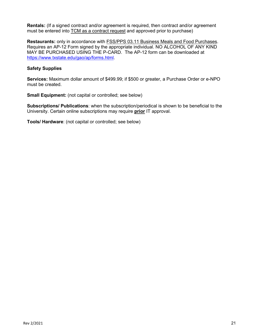**Rentals:** (If a signed contract and/or agreement is required, then contract and/or agreement must be entered into [TCM as a contract request](https://www.txstate.edu/procurement/howtopurchase/contracts.html) and approved prior to purchase)

**Restaurants:** only in accordance with [FSS/PPS 03.11 Business Meals and Food Purchases.](https://policies.txstate.edu/division-policies/finance-and-support-services/03-11.html) Requires an AP-12 Form signed by the appropriate individual. NO ALCOHOL OF ANY KIND MAY BE PURCHASED USING THE P-CARD. The AP-12 form can be downloaded at [https://www.txstate.edu/gao/ap/forms.html.](https://www.txstate.edu/gao/ap/forms.html)

### **Safety Supplies**

**Services:** Maximum dollar amount of \$499.99; if \$500 or greater, a Purchase Order or e-NPO must be created.

**Small Equipment:** (not capital or controlled; see below)

**Subscriptions/ Publications**: when the subscription/periodical is shown to be beneficial to the University. Certain online subscriptions may require **prior** IT approval.

**Tools/ Hardware**: (not capital or controlled; see below)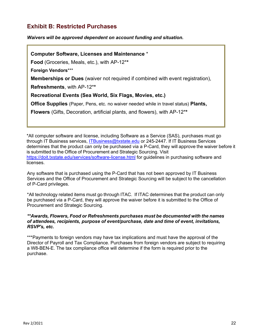# <span id="page-21-0"></span>**Exhibit B: Restricted Purchases**

*Waivers will be approved dependent on account funding and situation.*

**Computer Software, Licenses and Maintenance** \* **Food** (Groceries, Meals, etc.), with AP-12\***\* Foreign Vendors**\*\*\* **Memberships or Dues** (waiver not required if combined with event registration), **Refreshments**, with AP-12\***\* Recreational Events (Sea World, Six Flags, Movies, etc.) Office Supplies** (Paper, Pens, etc. no waiver needed while in travel status) **Plants, Flowers** (Gifts, Decoration, artificial plants, and flowers), with AP-12\***\*** 

\*All computer software and license, including Software as a Service (SAS), purchases must go through IT Business services, [ITBusiness@txstate.edu](mailto:ITBusiness@txstate.edu) or 245-2447. If IT Business Services determines that the product can only be purchased via a P-Card, they will approve the waiver before it is submitted to the Office of Procurement and Strategic Sourcing. Visit <https://doit.txstate.edu/services/software-license.html> for guidelines in purchasing software and licenses.

Any software that is purchased using the P-Card that has not been approved by IT Business Services and the Office of Procurement and Strategic Sourcing will be subject to the cancellation of P-Card privileges.

\*All technology related items must go through ITAC. If ITAC determines that the product can only be purchased via a P-Card, they will approve the waiver before it is submitted to the Office of Procurement and Strategic Sourcing.

### *\*\*Awards, Flowers, Food or Refreshments purchases must be documented with the names of attendees, recipients, purpose of event/purchase, date and time of event, invitations, RSVP's, etc.*

\*\*\*Payments to foreign vendors may have tax implications and must have the approval of the Director of Payroll and Tax Compliance. Purchases from foreign vendors are subject to requiring a W8-BEN-E. The tax compliance office will determine if the form is required prior to the purchase.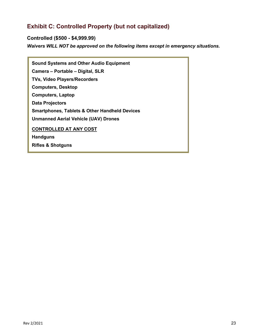# <span id="page-22-0"></span>**Exhibit C: Controlled Property (but not capitalized)**

**Controlled (\$500 - \$4,999.99)** *Waivers WILL NOT be approved on the following items except in emergency situations.*

| <b>Sound Systems and Other Audio Equipment</b>           |
|----------------------------------------------------------|
| Camera – Portable – Digital, SLR                         |
| <b>TVs, Video Players/Recorders</b>                      |
| <b>Computers, Desktop</b>                                |
| <b>Computers, Laptop</b>                                 |
| <b>Data Projectors</b>                                   |
| <b>Smartphones, Tablets &amp; Other Handheld Devices</b> |
| <b>Unmanned Aerial Vehicle (UAV) Drones</b>              |
| <b>CONTROLLED AT ANY COST</b>                            |
| <b>Handguns</b>                                          |
| <b>Rifles &amp; Shotguns</b>                             |
|                                                          |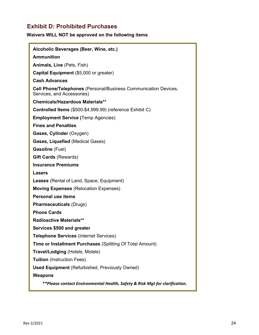# <span id="page-23-0"></span>**Exhibit D: Prohibited Purchases**

### **Waivers WILL NOT be approved on the following items**

| Alcoholic Beverages (Beer, Wine, etc.)                                                               |
|------------------------------------------------------------------------------------------------------|
| <b>Ammunition</b>                                                                                    |
| Animals, Live (Pets, Fish)                                                                           |
| Capital Equipment (\$5,000 or greater)                                                               |
| <b>Cash Advances</b>                                                                                 |
| <b>Cell Phone/Telephones</b> (Personal/Business Communication Devices,<br>Services, and Accessories) |
| <b>Chemicals/Hazardous Materials**</b>                                                               |
| Controlled Items (\$500-\$4,999.99) (reference Exhibit C)                                            |
| <b>Employment Service (Temp Agencies)</b>                                                            |
| <b>Fines and Penalties</b>                                                                           |
| Gases, Cylinder (Oxygen)                                                                             |
| Gases, Liquefied (Medical Gases)                                                                     |
| <b>Gasoline</b> (Fuel)                                                                               |
| <b>Gift Cards (Rewards)</b>                                                                          |
| <b>Insurance Premiums</b>                                                                            |
| Lasers                                                                                               |
| <b>Leases</b> (Rental of Land, Space, Equipment)                                                     |
| <b>Moving Expenses (Relocation Expenses)</b>                                                         |
| <b>Personal use items</b>                                                                            |
| <b>Pharmaceuticals (Drugs)</b>                                                                       |
| <b>Phone Cards</b>                                                                                   |
| <b>Radioactive Materials**</b>                                                                       |
| Services \$500 and greater                                                                           |
| <b>Telephone Services (Internet Services)</b>                                                        |
| Time or Installment Purchases (Splitting Of Total Amount)                                            |
| <b>Travel/Lodging (Hotels, Motels)</b>                                                               |
| <b>Tuition</b> (Instruction Fees)                                                                    |
| <b>Used Equipment</b> (Refurbished, Previously Owned)                                                |
| <b>Weapons</b>                                                                                       |
| **Please contact Environmental Health, Safety & Risk Mgt for clarification.                          |